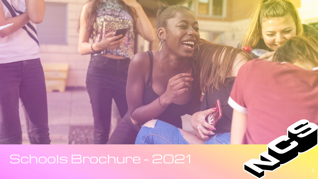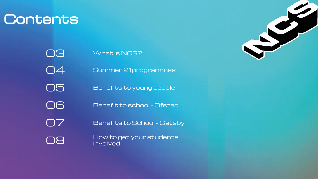## **Contents**

O5 Benefits to young people 03 What is NCS? 04 Summer 21 programmes 06 Benefit to school - Ofsted 07 Benefits to School - Gatsby

O8 How to get your students involved

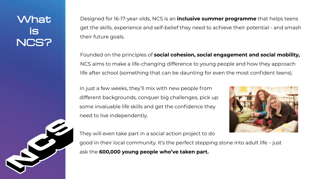## **What** is NCS?

Designed for 16-17-year-olds, NCS is an **inclusive summer programme** that helps teens get the skills, experience and self-belief they need to achieve their potential - and smash their future goals.

Founded on the principles of **social cohesion, social engagement and social mobility,** NCS aims to make a life-changing difference to young people and how they approach life after school (something that can be daunting for even the most confident teens).

In just a few weeks, they'll mix with new people from different backgrounds, conquer big challenges, pick up some invaluable life skills and get the confidence they need to live independently.

They will even take part in a social action project to do ask the **600,000 young people who've taken part.**



- 
- good in their local community. It's the perfect stepping stone into adult life just
	-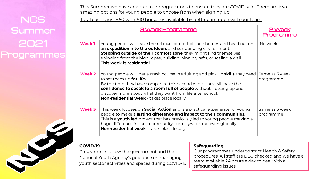### This Summer we have adapted our programmes to ensure they are COVID safe. There are two

amazing options for young people to choose from when signing up. NCS Total cost is just £50 with £10 bursaries available by getting in touch with our team.

3 Week Progra

# Summer 2021 Programmes

| Week <sub>1</sub> | Young people will leave the relative comfort of their homes and head out on<br>an expedition into the outdoors and surrounding environment.<br>Stepping outside of their comfort zone, they might find themselves<br>swinging from the high ropes, building winning rafts, or scaling a wall.<br>This week is residential.                                                    |
|-------------------|-------------------------------------------------------------------------------------------------------------------------------------------------------------------------------------------------------------------------------------------------------------------------------------------------------------------------------------------------------------------------------|
| <b>Week 2</b>     | Young people will get a crash course in adulting and pick up <b>skills</b> they need<br>to set them up for life.<br>By the time they have completed this second week, they will have the<br>confidence to speak to a room full of people without freezing up and<br>discover more about what they want from life after school.<br>Non-residential week - takes place locally. |
| Week 3            | This week focuses on <b>Social Action</b> and is a practical experience for young<br>people to make a lasting difference and impact to their communities.<br>This is a youth led project that has previously led to young people making a<br>huge difference in their community, countrywide and even globally.<br>Non-residential week - takes place locally.                |

| amr                                                                                                                                                       | 2 Week<br>paramme           |
|-----------------------------------------------------------------------------------------------------------------------------------------------------------|-----------------------------|
| nfort of their homes and head out on<br>urrounding environment.<br>$e$ , they might find themselves<br>winning rafts, or scaling a wall.                  | No week 1                   |
| adulting and pick up <b>skills</b> they need<br>econd week, they will have the<br><b>people</b> without freezing up and<br>om life after school.<br>ally. | Same as 3 week<br>programme |
| is a practical experience for young<br>d impact to their communities.<br>iously led to young people making a<br>untrywide and even globally.<br>ally.     | Same as 3 week<br>programme |

### **COVID-19**

Programmes follow the government and the National Youth Agency's guidance on managing youth sector activities and spaces during COVID-19.

### **Safeguarding**

Our programmes undergo strict Health & Safety procedures. All staff are DBS checked and we have a team available 24 hours a day to deal with all safeguarding issues.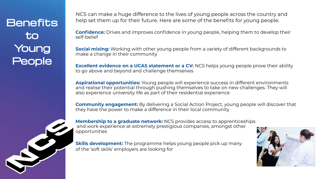**Benefits** to Young People

**Confidence:** Drives and improves confidence in young people, helping them to develop their self-belief

**Social mixing:** Working with other young people from a variety of different backgrounds to make a change in their community

**Excellent evidence on a UCAS statement or a CV:** NCS helps young people prove their ability to go above and beyond and challenge themselves

**Aspirational opportunities:** Young people will experience success in different environments and realise their potential through pushing themselves to take on new challenges. They will also experience university life as part of their residential experience

**Skills development:** The programme helps young people pick up many of the 'soft skills' employers are looking for





**Community engagement:** By delivering a Social Action Project, young people will discover that they have the power to make a difference in their local community

**Membership to a graduate network:** NCS provides access to apprenticeships and work experience at extremely prestigious companies, amongst other opportunities

NCS can make a huge difference to the lives of young people across the country and help set them up for their future. Here are some of the benefits for young people.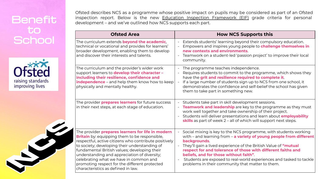## **Benefit** to **School**





Ofsted describes NCS as a programme whose positive impact on pupils may be considered as part of an Ofsted inspection report. Below is the new Education Inspection Framework (EIF) grade criteria for personal development – and we've outlined how NCS supports each part.

- Extends students' learning beyond their compulsory education. - Empowers and inspires young people to **challenge themselves in new contexts and environments**.
- Teamwork on a student-led 'passion project' to improve their local community.

The curriculum extends **beyond the academic**, technical or vocational and provides for learners' broader development, enabling them to develop and discover their interests and talents.

> Requires students to commit to the programme, which shows they have the **grit and resilience required to complete it**.

If a large number of students sign up to NCS from one school, it demonstrates the confidence and self-belief the school has given them to take part in something new.

Students take part in skill development sessions. - **Teamwork and leadership** are key to the programme as they must work well together and take ownership of their project. - Students will deliver presentations and learn about **employability skills** as part of week 2 – all of which will support next steps.

The curriculum and the provider's wider work support learners to **develop their character – including their resilience, confidence and independence** – and help them know how to keep physically and mentally healthy.

- The programme teaches independence.

Social mixing is key to the NCS programme, with students working with – and learning from – **a variety of young people from different backgrounds**.

The provider **prepares learners** for future success in their next steps, at each stage of education.

The provider **prepares learners for life in modern Britain** by: equipping them to be responsible, respectful, active citizens who contribute positively to society; developing their understanding of fundamental British values; developing their understanding and appreciation of diversity; celebrating what we have in common and promoting respect for the different protected characteristics as defined in law.

### **Ofsted Area Now NCS Supports this**

- They'll gain a lived experience of the British Value of **"mutual respect for and tolerance of those with different faiths and beliefs, and for those without faith"**.
- Students are exposed to real-world experiences and tasked to tackle problems in their community that matter to them.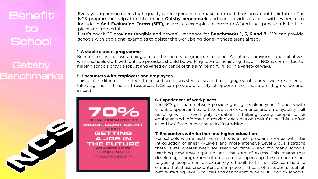## **Benefit** to **School**

### **Gatsby Benchmarks**



Every young person needs high-quality career guidance to make informed decisions about their future. The NCS programme helps to embed each **Gatsby benchmark** and can provide a school with evidence to include in **Self Evaluation Forms (SEF)**, as well as examples to prove to Ofsted that provision is both in place and impactful.

Here's how NCS **provides** tangible and powerful evidence for **Benchmarks 1, 5, 6 and 7**. We can provide schools with additional examples to bolster the work being done in these areas already.

### **6. Experiences of workplaces**

The NCS graduate network provides young people in years 12 and 13 with valuable opportunities to take up work experience and employability skill building which are highly valuable in helping young people to be equipped and informed in making decisions on their future. This is often asked by Ofsted in relation to 16-19 provision.

### **7. Encounters with further and higher education**

For schools with a Sixth Form, this is a real problem area as with the introduction of linear A-Levels and more intensive Level 3 qualifications there is far greater need for teaching time – and for many schools, teaching now goes right up until the start of exams. This means that developing a programme of provision that opens up these opportunities to young people can be extremely difficult to fit in. NCS can help to ensure that these encounters are in place and part of a students 'tool kit' before starting Level 3 courses and can therefore be built upon by schools.

### **1. A stable careers programme**

Benchmark 1 is the 'overarching aim' of the careers programme in school. All internal provisions and initiatives where schools work with outside providers should be working towards achieving this aim. NCS is committed to helping schools provide robust and varied evidence of this aim being fulfilled in a variety of ways.

### **5. Encounters with employers and employees**

This can be difficult for schools to embed on a consistent basis and arranging events and/or work experience takes significant time and resources. NCS can provide a variety of opportunities that are of high value and impact.

OF PARTICIPANTS FELT MORE CONFIDENT **ABOUT GETTING** A JOB IN THE FUTURE **AS A RESULT OF** GOING ON NCS CE. NATIONAL CITIZEN SERVICE